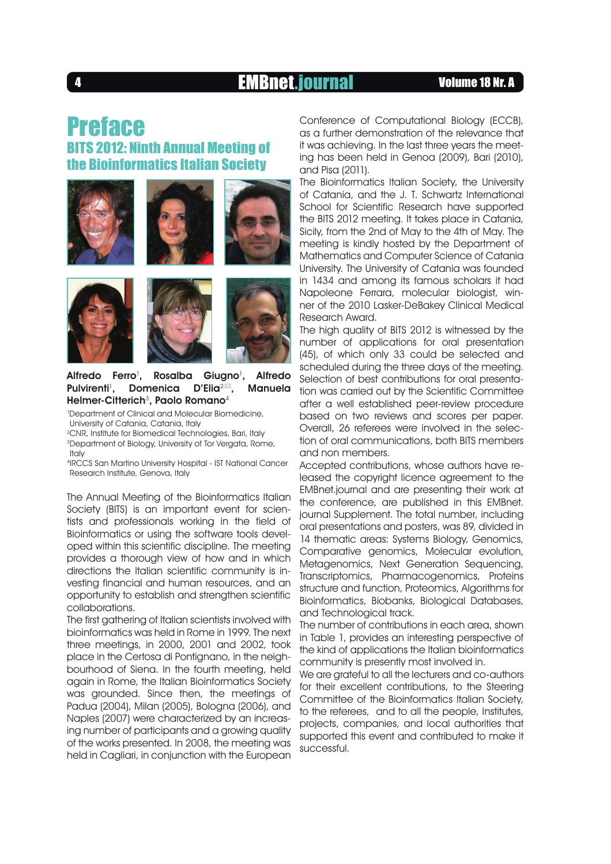## <sup>4</sup> EMBnet.journal Volume 18 Nr. A

## Preface BITS 2012: Ninth Annual Meeting of the Bioinformatics Italian Society













### Alfredo Ferro<sup>1</sup>, Rosalba Giugno<sup>1</sup>, Alfredo Pulvirenti<sup>1</sup>, Domenica D'Elia<sup>2⊠</sup>, Manuela Helmer-Citterich ${}^{3}$ , Paolo Romano ${}^{4}$

<sup>1</sup>Department of Clinical and Molecular Biomedicine, University of Catania, Catania, Italy

<sup>2</sup>CNR, Institute for Biomedical Technologies, Bari, Italy

<sup>3</sup>Department of Biology, University of Tor Vergata, Rome, Italy

4 IRCCS San Martino University Hospital - IST National Cancer Research Institute, Genova, Italy

The Annual Meeting of the Bioinformatics Italian Society (BITS) is an important event for scientists and professionals working in the field of Bioinformatics or using the software tools developed within this scientific discipline. The meeting provides a thorough view of how and in which directions the Italian scientific community is investing financial and human resources, and an opportunity to establish and strengthen scientific collaborations.

The first gathering of Italian scientists involved with bioinformatics was held in Rome in 1999. The next three meetings, in 2000, 2001 and 2002, took place in the Certosa di Pontignano, in the neighbourhood of Siena. In the fourth meeting, held again in Rome, the Italian Bioinformatics Society was grounded. Since then, the meetings of Padua (2004), Milan (2005), Bologna (2006), and Naples (2007) were characterized by an increasing number of participants and a growing quality of the works presented. In 2008, the meeting was held in Cagliari, in conjunction with the European

Conference of Computational Biology (ECCB), as a further demonstration of the relevance that it was achieving. In the last three years the meeting has been held in Genoa (2009), Bari (2010), and Pisa (2011).

The Bioinformatics Italian Society, the University of Catania, and the J. T. Schwartz International School for Scientific Research have supported the BITS 2012 meeting. It takes place in Catania, Sicily, from the 2nd of May to the 4th of May. The meeting is kindly hosted by the Department of Mathematics and Computer Science of Catania University. The University of Catania was founded in 1434 and among its famous scholars it had

Napoleone Ferrara, molecular biologist, winner of the 2010 Lasker-DeBakey Clinical Medical Research Award.

The high quality of BITS 2012 is witnessed by the number of applications for oral presentation (45), of which only 33 could be selected and scheduled during the three days of the meeting. Selection of best contributions for oral presentation was carried out by the Scientific Committee after a well established peer-review procedure based on two reviews and scores per paper. Overall, 26 referees were involved in the selection of oral communications, both BITS members and non members.

Accepted contributions, whose authors have released the copyright licence agreement to the EMBnet.journal and are presenting their work at the conference, are published in this EMBnet. journal Supplement. The total number, including oral presentations and posters, was 89, divided in 14 thematic areas: Systems Bioloay, Genomics, Comparative genomics, Molecular evolution, Metagenomics, Next Generation Sequencing, Transcriptomics, Pharmacogenomics, Proteins structure and function, Proteomics, Algorithms for Bioinformatics, Biobanks, Biological Databases, and Technological track.

The number of contributions in each area, shown in Table 1, provides an interesting perspective of the kind of applications the Italian bioinformatics community is presently most involved in.

We are arateful to all the lecturers and co-authors for their excellent contributions, to the Steering Committee of the Bioinformatics Italian Society, to the referees, and to all the people, Institutes, projects, companies, and local authorities that supported this event and contributed to make it successful.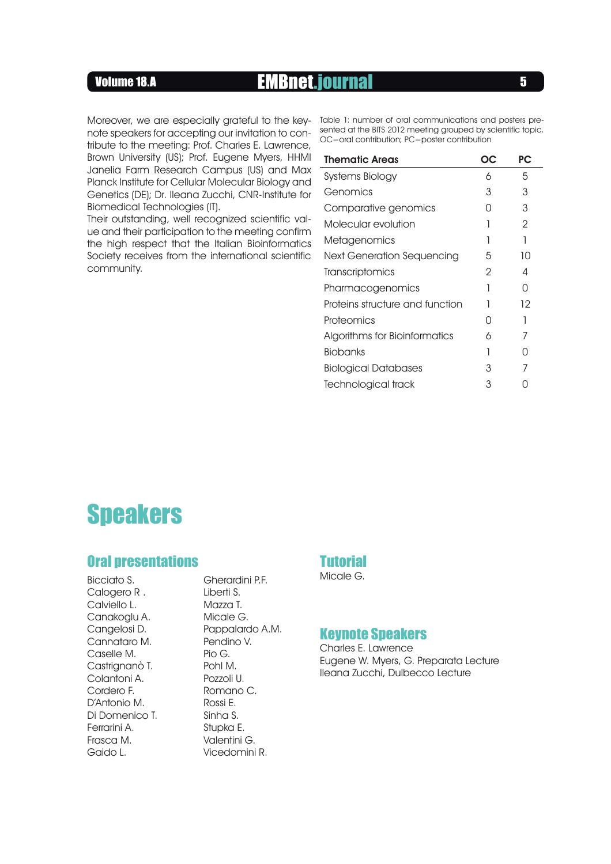## Volume 18.A **EMBnet.journal** 5

note speakers for accepting our invitation to con-<br>QC astigation in a particular setting isotroportion of the BITS 2012 meeting grouped by scientific topic. tribute to the meeting: Prof. Charles E. Lawrence, Brown University (US); Prof. Eugene Myers, HHMI Janelia Farm Research Campus (US) and Max Planck Institute for Cellular Molecular Biology and Genetics (DE); Dr. Ileana Zucchi, CNR-Institute for Biomedical Technologies (IT).

Their outstanding, well recognized scientific value and their participation to the meeting confirm the high respect that the Italian Bioinformatics Society receives from the international scientific community.

Moreover, we are especially grateful to the key- Table 1: number of oral communications and posters pre-OC=oral contribution; PC=poster contribution

| <b>Thematic Areas</b>           | ОC | PC |
|---------------------------------|----|----|
| Systems Biology                 | 6  | 5  |
| Genomics                        | 3  | 3  |
| Comparative genomics            | ∩  | 3  |
| Molecular evolution             |    | 2  |
| Metagenomics                    |    | 1  |
| Next Generation Sequencing      | 5  | 10 |
| Transcriptomics                 | 2  | 4  |
| Pharmacogenomics                |    | Ω  |
| Proteins structure and function |    | 12 |
| Proteomics                      | ∩  | 1  |
| Algorithms for Bioinformatics   | 6  | 7  |
| <b>Biobanks</b>                 |    | Λ  |
| <b>Biological Databases</b>     | 3  |    |
| Technological track             | 3  |    |

# **Speakers**

### Oral presentations

Bicciato S. Calogero R . Calviello L. Canakoglu A. Cangelosi D. Cannataro M. Caselle M. Castrignanò T. Colantoni A. Cordero F. D'Antonio M. Di Domenico T. Ferrarini A. Frasca M. Gaido L.

Gherardini P.F. Liberti S. Mazza T. Micale G. Pappalardo A.M. Pendino V. Pio G. Pohl M. Pozzoli U. Romano C. Rossi E. Sinha S. Stupka E. Valentini G. Vicedomini R.

## Tutorial

Micale G.

### **Keynote Speakers**

Charles E. Lawrence Eugene W. Myers, G. Preparata Lecture Ileana Zucchi, Dulbecco Lecture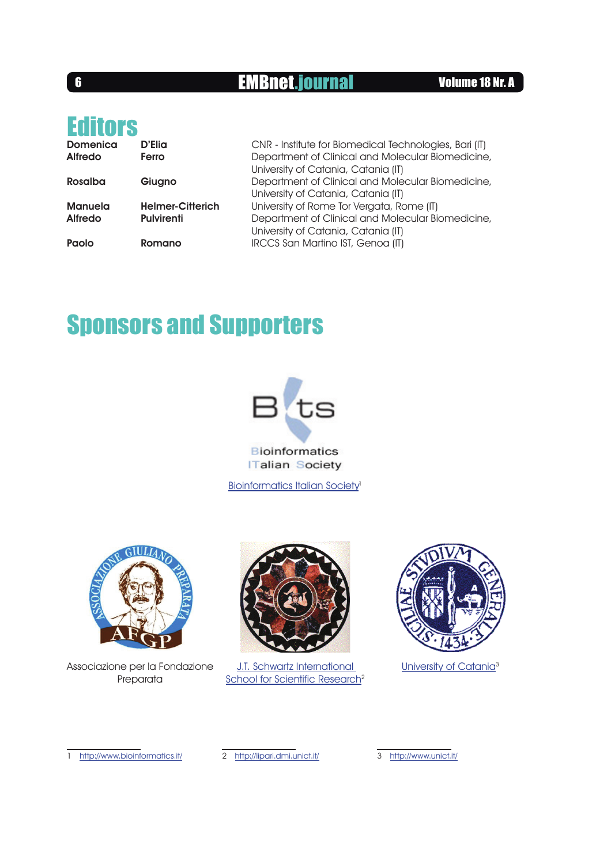## **6** EMBnet.journal Volume 18 Nr. A

# **Editors**

| <b>Domenica</b><br><b>Alfredo</b> | D'Elia<br>Ferro         | CNR - Institute for Biomedical Technologies, Bari (IT)<br>Department of Clinical and Molecular Biomedicine,<br>University of Catania, Catania (IT) |
|-----------------------------------|-------------------------|----------------------------------------------------------------------------------------------------------------------------------------------------|
| Rosalba                           | Giugno                  | Department of Clinical and Molecular Biomedicine,<br>University of Catania, Catania (IT)                                                           |
| Manuela                           | <b>Helmer-Citterich</b> | University of Rome Tor Vergata, Rome (IT)                                                                                                          |
| <b>Alfredo</b>                    | <b>Pulvirenti</b>       | Department of Clinical and Molecular Biomedicine,<br>University of Catania, Catania (IT)                                                           |
| Paolo                             | Romano                  | IRCCS San Martino IST, Genoa (IT)                                                                                                                  |

# Sponsors and Supporters



**Talian Society** 

Bioinformatics Italian Society<sup>1</sup>



Associazione per la Fondazione Preparata



J.T. Schwartz International School for Scientific Research<sup>2</sup>



University of Catania<sup>3</sup>

1 http://www.bioinformatics.it/ 2 http://lipari.dmi.unict.it/

3 http://www.unict.it/